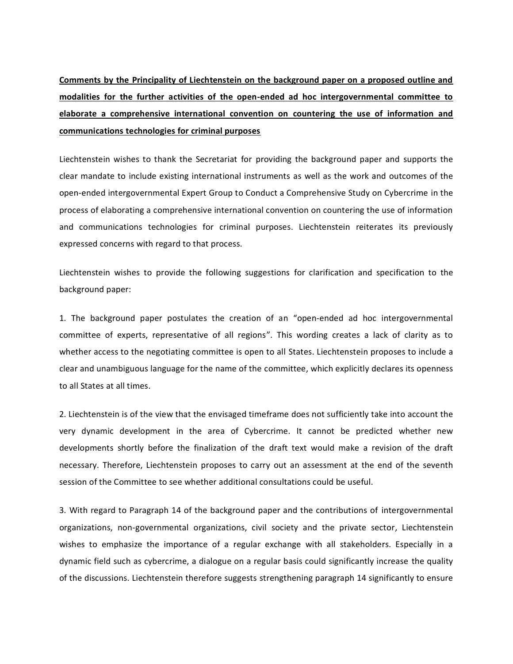**Comments by the Principality of Liechtenstein on the background paper on a proposed outline and modalities for the further activities of the open-ended ad hoc intergovernmental committee to elaborate a comprehensive international convention on countering the use of information and communications technologies for criminal purposes**

Liechtenstein wishes to thank the Secretariat for providing the background paper and supports the clear mandate to include existing international instruments as well as the work and outcomes of the open-ended intergovernmental Expert Group to Conduct a Comprehensive Study on Cybercrime in the process of elaborating a comprehensive international convention on countering the use of information and communications technologies for criminal purposes. Liechtenstein reiterates its previously expressed concerns with regard to that process.

Liechtenstein wishes to provide the following suggestions for clarification and specification to the background paper:

1. The background paper postulates the creation of an "open-ended ad hoc intergovernmental committee of experts, representative of all regions". This wording creates a lack of clarity as to whether access to the negotiating committee is open to all States. Liechtenstein proposes to include a clear and unambiguous language for the name of the committee, which explicitly declares its openness to all States at all times.

2. Liechtenstein is of the view that the envisaged timeframe does not sufficiently take into account the very dynamic development in the area of Cybercrime. It cannot be predicted whether new developments shortly before the finalization of the draft text would make a revision of the draft necessary. Therefore, Liechtenstein proposes to carry out an assessment at the end of the seventh session of the Committee to see whether additional consultations could be useful.

3. With regard to Paragraph 14 of the background paper and the contributions of intergovernmental organizations, non-governmental organizations, civil society and the private sector, Liechtenstein wishes to emphasize the importance of a regular exchange with all stakeholders. Especially in a dynamic field such as cybercrime, a dialogue on a regular basis could significantly increase the quality of the discussions. Liechtenstein therefore suggests strengthening paragraph 14 significantly to ensure